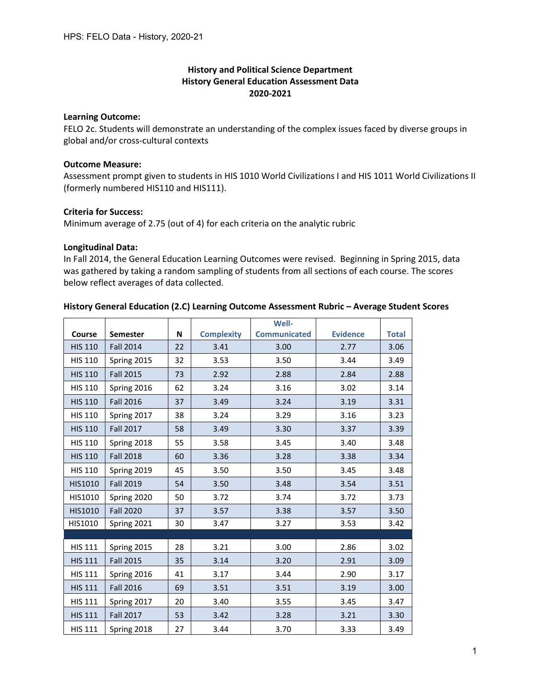## **History and Political Science Department History General Education Assessment Data 2020-2021**

#### **Learning Outcome:**

FELO 2c. Students will demonstrate an understanding of the complex issues faced by diverse groups in global and/or cross-cultural contexts

## **Outcome Measure:**

Assessment prompt given to students in HIS 1010 World Civilizations I and HIS 1011 World Civilizations II (formerly numbered HIS110 and HIS111).

## **Criteria for Success:**

Minimum average of 2.75 (out of 4) for each criteria on the analytic rubric

## **Longitudinal Data:**

In Fall 2014, the General Education Learning Outcomes were revised. Beginning in Spring 2015, data was gathered by taking a random sampling of students from all sections of each course. The scores below reflect averages of data collected.

## **History General Education (2.C) Learning Outcome Assessment Rubric – Average Student Scores**

|                |                  |    |                   | Well-               |                 |              |
|----------------|------------------|----|-------------------|---------------------|-----------------|--------------|
| Course         | <b>Semester</b>  | N  | <b>Complexity</b> | <b>Communicated</b> | <b>Evidence</b> | <b>Total</b> |
| <b>HIS 110</b> | <b>Fall 2014</b> | 22 | 3.41              | 3.00                | 2.77            | 3.06         |
| <b>HIS 110</b> | Spring 2015      | 32 | 3.53              | 3.50                | 3.44            | 3.49         |
| <b>HIS 110</b> | <b>Fall 2015</b> | 73 | 2.92              | 2.88                | 2.84            | 2.88         |
| <b>HIS 110</b> | Spring 2016      | 62 | 3.24              | 3.16                | 3.02            | 3.14         |
| <b>HIS 110</b> | <b>Fall 2016</b> | 37 | 3.49              | 3.24                | 3.19            | 3.31         |
| <b>HIS 110</b> | Spring 2017      | 38 | 3.24              | 3.29                | 3.16            | 3.23         |
| <b>HIS 110</b> | <b>Fall 2017</b> | 58 | 3.49              | 3.30                | 3.37            | 3.39         |
| <b>HIS 110</b> | Spring 2018      | 55 | 3.58              | 3.45                | 3.40            | 3.48         |
| <b>HIS 110</b> | <b>Fall 2018</b> | 60 | 3.36              | 3.28                | 3.38            | 3.34         |
| <b>HIS 110</b> | Spring 2019      | 45 | 3.50              | 3.50                | 3.45            | 3.48         |
| <b>HIS1010</b> | <b>Fall 2019</b> | 54 | 3.50              | 3.48                | 3.54            | 3.51         |
| HIS1010        | Spring 2020      | 50 | 3.72              | 3.74                | 3.72            | 3.73         |
| HIS1010        | <b>Fall 2020</b> | 37 | 3.57              | 3.38                | 3.57            | 3.50         |
| HIS1010        | Spring 2021      | 30 | 3.47              | 3.27                | 3.53            | 3.42         |
|                |                  |    |                   |                     |                 |              |
| <b>HIS 111</b> | Spring 2015      | 28 | 3.21              | 3.00                | 2.86            | 3.02         |
| <b>HIS 111</b> | <b>Fall 2015</b> | 35 | 3.14              | 3.20                | 2.91            | 3.09         |
| <b>HIS 111</b> | Spring 2016      | 41 | 3.17              | 3.44                | 2.90            | 3.17         |
| <b>HIS 111</b> | <b>Fall 2016</b> | 69 | 3.51              | 3.51                | 3.19            | 3.00         |
| <b>HIS 111</b> | Spring 2017      | 20 | 3.40              | 3.55                | 3.45            | 3.47         |
| <b>HIS 111</b> | <b>Fall 2017</b> | 53 | 3.42              | 3.28                | 3.21            | 3.30         |
| <b>HIS 111</b> | Spring 2018      | 27 | 3.44              | 3.70                | 3.33            | 3.49         |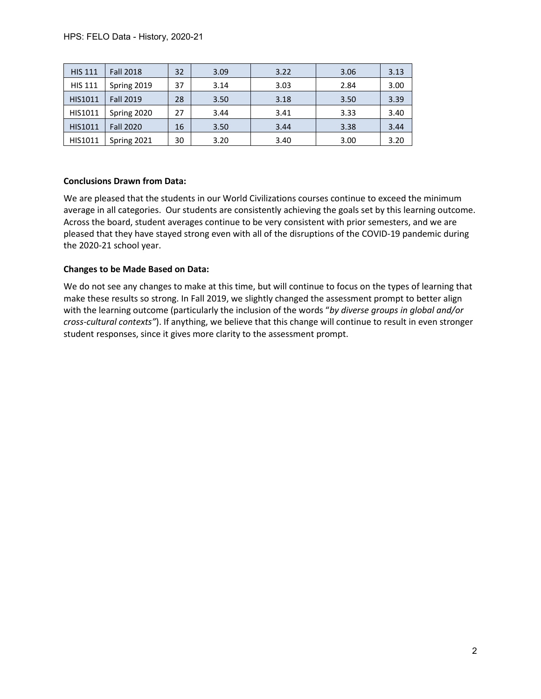| <b>HIS 111</b> | <b>Fall 2018</b> | 32 | 3.09 | 3.22 | 3.06 | 3.13 |
|----------------|------------------|----|------|------|------|------|
| <b>HIS 111</b> | Spring 2019      | 37 | 3.14 | 3.03 | 2.84 | 3.00 |
| <b>HIS1011</b> | <b>Fall 2019</b> | 28 | 3.50 | 3.18 | 3.50 | 3.39 |
| HIS1011        | Spring 2020      | 27 | 3.44 | 3.41 | 3.33 | 3.40 |
| HIS1011        | <b>Fall 2020</b> | 16 | 3.50 | 3.44 | 3.38 | 3.44 |
| HIS1011        | Spring 2021      | 30 | 3.20 | 3.40 | 3.00 | 3.20 |

## **Conclusions Drawn from Data:**

We are pleased that the students in our World Civilizations courses continue to exceed the minimum average in all categories. Our students are consistently achieving the goals set by this learning outcome. Across the board, student averages continue to be very consistent with prior semesters, and we are pleased that they have stayed strong even with all of the disruptions of the COVID-19 pandemic during the 2020-21 school year.

## **Changes to be Made Based on Data:**

We do not see any changes to make at this time, but will continue to focus on the types of learning that make these results so strong. In Fall 2019, we slightly changed the assessment prompt to better align with the learning outcome (particularly the inclusion of the words "*by diverse groups in global and/or cross-cultural contexts"*). If anything, we believe that this change will continue to result in even stronger student responses, since it gives more clarity to the assessment prompt.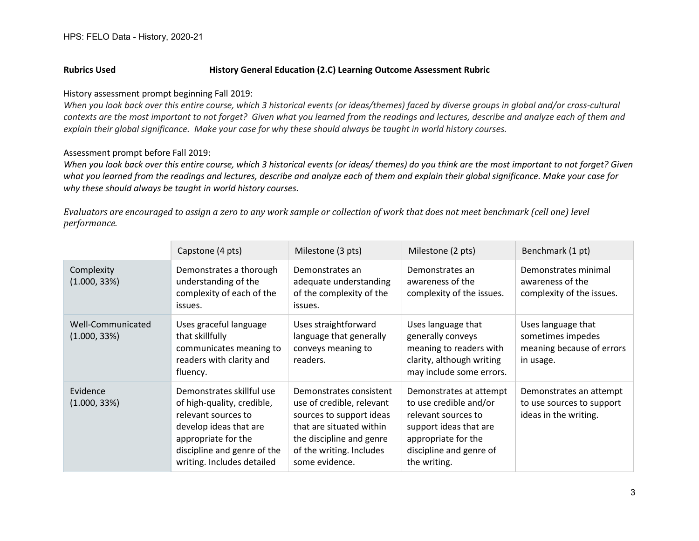## **Rubrics Used History General Education (2.C) Learning Outcome Assessment Rubric**

#### History assessment prompt beginning Fall 2019:

*When you look back over this entire course, which 3 historical events (or ideas/themes) faced by diverse groups in global and/or cross-cultural contexts are the most important to not forget? Given what you learned from the readings and lectures, describe and analyze each of them and explain their global significance. Make your case for why these should always be taught in world history courses.*

## Assessment prompt before Fall 2019:

*When you look back over this entire course, which 3 historical events (or ideas/ themes) do you think are the most important to not forget? Given what you learned from the readings and lectures, describe and analyze each of them and explain their global significance. Make your case for why these should always be taught in world history courses.*

*Evaluators are encouraged to assign a zero to any work sample or collection of work that does not meet benchmark (cell one) level performance.*

|                                   | Capstone (4 pts)                                                                                                                                                                             | Milestone (3 pts)                                                                                                                                                                      | Milestone (2 pts)                                                                                                                                                    | Benchmark (1 pt)                                                                  |
|-----------------------------------|----------------------------------------------------------------------------------------------------------------------------------------------------------------------------------------------|----------------------------------------------------------------------------------------------------------------------------------------------------------------------------------------|----------------------------------------------------------------------------------------------------------------------------------------------------------------------|-----------------------------------------------------------------------------------|
| Complexity<br>(1.000, 33%)        | Demonstrates a thorough<br>understanding of the<br>complexity of each of the<br>issues.                                                                                                      | Demonstrates an<br>adequate understanding<br>of the complexity of the<br>issues.                                                                                                       | Demonstrates an<br>awareness of the<br>complexity of the issues.                                                                                                     | Demonstrates minimal<br>awareness of the<br>complexity of the issues.             |
| Well-Communicated<br>(1.000, 33%) | Uses graceful language<br>that skillfully<br>communicates meaning to<br>readers with clarity and<br>fluency.                                                                                 | Uses straightforward<br>language that generally<br>conveys meaning to<br>readers.                                                                                                      | Uses language that<br>generally conveys<br>meaning to readers with<br>clarity, although writing<br>may include some errors.                                          | Uses language that<br>sometimes impedes<br>meaning because of errors<br>in usage. |
| Evidence<br>(1.000, 33%)          | Demonstrates skillful use<br>of high-quality, credible,<br>relevant sources to<br>develop ideas that are<br>appropriate for the<br>discipline and genre of the<br>writing. Includes detailed | Demonstrates consistent<br>use of credible, relevant<br>sources to support ideas<br>that are situated within<br>the discipline and genre<br>of the writing. Includes<br>some evidence. | Demonstrates at attempt<br>to use credible and/or<br>relevant sources to<br>support ideas that are<br>appropriate for the<br>discipline and genre of<br>the writing. | Demonstrates an attempt<br>to use sources to support<br>ideas in the writing.     |